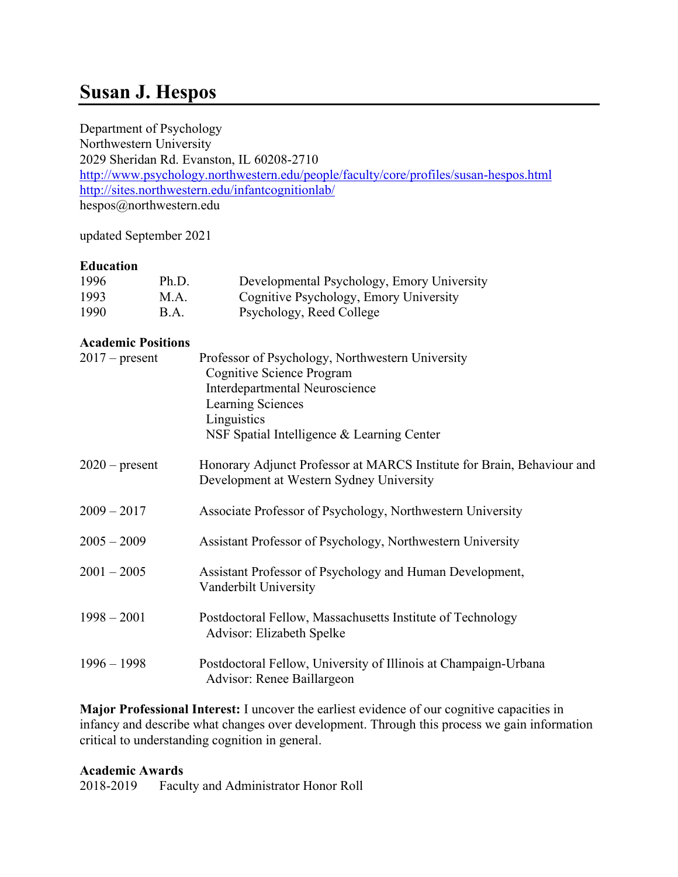# **Susan J. Hespos**

Department of Psychology Northwestern University 2029 Sheridan Rd. Evanston, IL 60208-2710 <http://www.psychology.northwestern.edu/people/faculty/core/profiles/susan-hespos.html> <http://sites.northwestern.edu/infantcognitionlab/> hespos@northwestern.edu

updated September 2021

# **Education**

| 1996 | Ph.D. | Developmental Psychology, Emory University |
|------|-------|--------------------------------------------|
| 1993 | M.A.  | Cognitive Psychology, Emory University     |
| 1990 | B.A.  | Psychology, Reed College                   |

# **Academic Positions**

| $2017$ – present | Professor of Psychology, Northwestern University<br>Cognitive Science Program<br>Interdepartmental Neuroscience<br>Learning Sciences<br>Linguistics<br>NSF Spatial Intelligence & Learning Center |
|------------------|---------------------------------------------------------------------------------------------------------------------------------------------------------------------------------------------------|
| $2020$ – present | Honorary Adjunct Professor at MARCS Institute for Brain, Behaviour and<br>Development at Western Sydney University                                                                                |
| $2009 - 2017$    | Associate Professor of Psychology, Northwestern University                                                                                                                                        |
| $2005 - 2009$    | Assistant Professor of Psychology, Northwestern University                                                                                                                                        |
| $2001 - 2005$    | Assistant Professor of Psychology and Human Development,<br>Vanderbilt University                                                                                                                 |
| $1998 - 2001$    | Postdoctoral Fellow, Massachusetts Institute of Technology<br>Advisor: Elizabeth Spelke                                                                                                           |
| $1996 - 1998$    | Postdoctoral Fellow, University of Illinois at Champaign-Urbana<br>Advisor: Renee Baillargeon                                                                                                     |

**Major Professional Interest:** I uncover the earliest evidence of our cognitive capacities in infancy and describe what changes over development. Through this process we gain information critical to understanding cognition in general.

## **Academic Awards**

2018-2019 Faculty and Administrator Honor Roll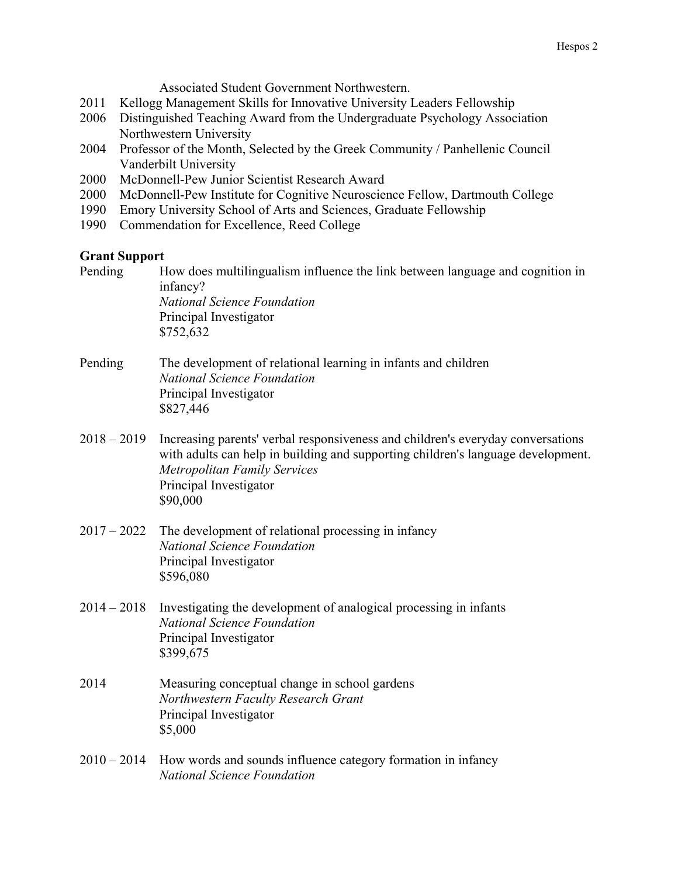Associated Student Government Northwestern.

- 2011 Kellogg Management Skills for Innovative University Leaders Fellowship
- 2006 Distinguished Teaching Award from the Undergraduate Psychology Association Northwestern University
- 2004 Professor of the Month, Selected by the Greek Community / Panhellenic Council Vanderbilt University
- 2000 McDonnell-Pew Junior Scientist Research Award
- 2000 McDonnell-Pew Institute for Cognitive Neuroscience Fellow, Dartmouth College
- 1990 Emory University School of Arts and Sciences, Graduate Fellowship
- 1990 Commendation for Excellence, Reed College

#### **Grant Support**

Pending How does multilingualism influence the link between language and cognition in infancy? *National Science Foundation* Principal Investigator \$752,632 Pending The development of relational learning in infants and children *National Science Foundation*

- Principal Investigator \$827,446
- 2018 2019 Increasing parents' verbal responsiveness and children's everyday conversations with adults can help in building and supporting children's language development. *Metropolitan Family Services*  Principal Investigator \$90,000
- 2017 2022 The development of relational processing in infancy *National Science Foundation* Principal Investigator \$596,080
- 2014 2018 Investigating the development of analogical processing in infants *National Science Foundation* Principal Investigator \$399,675
- 2014 Measuring conceptual change in school gardens *Northwestern Faculty Research Grant* Principal Investigator \$5,000
- $2010 2014$  How words and sounds influence category formation in infancy *National Science Foundation*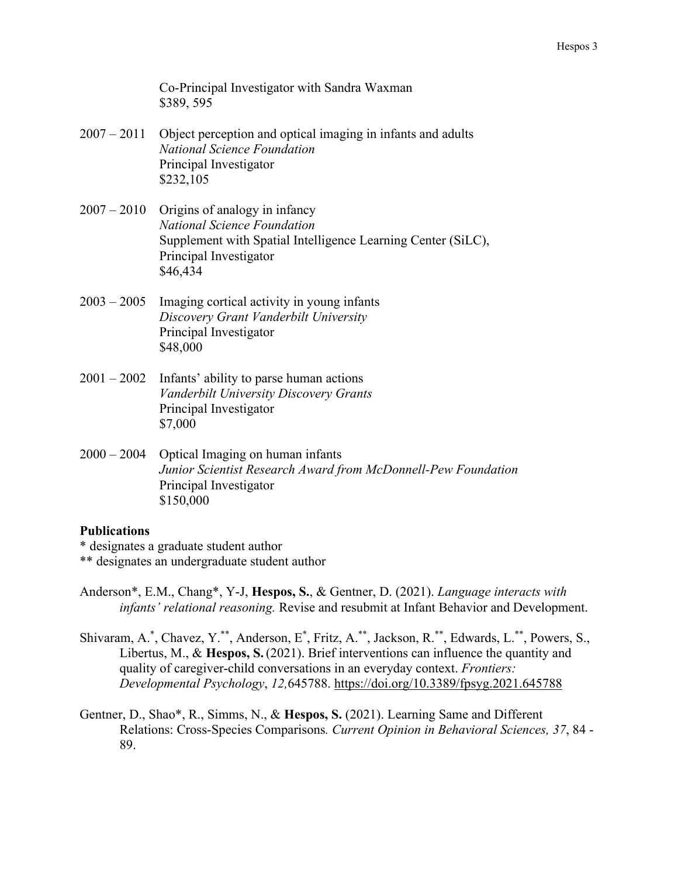Co-Principal Investigator with Sandra Waxman \$389, 595

- 2007 2011 Object perception and optical imaging in infants and adults *National Science Foundation* Principal Investigator \$232,105
- 2007 2010 Origins of analogy in infancy *National Science Foundation* Supplement with Spatial Intelligence Learning Center (SiLC), Principal Investigator \$46,434
- 2003 2005 Imaging cortical activity in young infants *Discovery Grant Vanderbilt University* Principal Investigator \$48,000
- 2001 2002 Infants' ability to parse human actions *Vanderbilt University Discovery Grants* Principal Investigator \$7,000
- 2000 2004 Optical Imaging on human infants *Junior Scientist Research Award from McDonnell-Pew Foundation* Principal Investigator \$150,000

## **Publications**

\* designates a graduate student author \*\* designates an undergraduate student author

- Anderson\*, E.M., Chang\*, Y-J, **Hespos, S.**, & Gentner, D. (2021). *Language interacts with infants' relational reasoning.* Revise and resubmit at Infant Behavior and Development.
- Shivaram, A.\*, Chavez, Y.\*\*, Anderson, E\*, Fritz, A.\*\*, Jackson, R.\*\*, Edwards, L.\*\*, Powers, S., Libertus, M., & **Hespos, S.**(2021). Brief interventions can influence the quantity and quality of caregiver-child conversations in an everyday context. *Frontiers: Developmental Psychology*, *12,*645788. https://doi.org/10.3389/fpsyg.2021.645788
- Gentner, D., Shao\*, R., Simms, N., & **Hespos, S.** (2021). Learning Same and Different Relations: Cross-Species Comparisons*. Current Opinion in Behavioral Sciences, 37*, 84 - 89.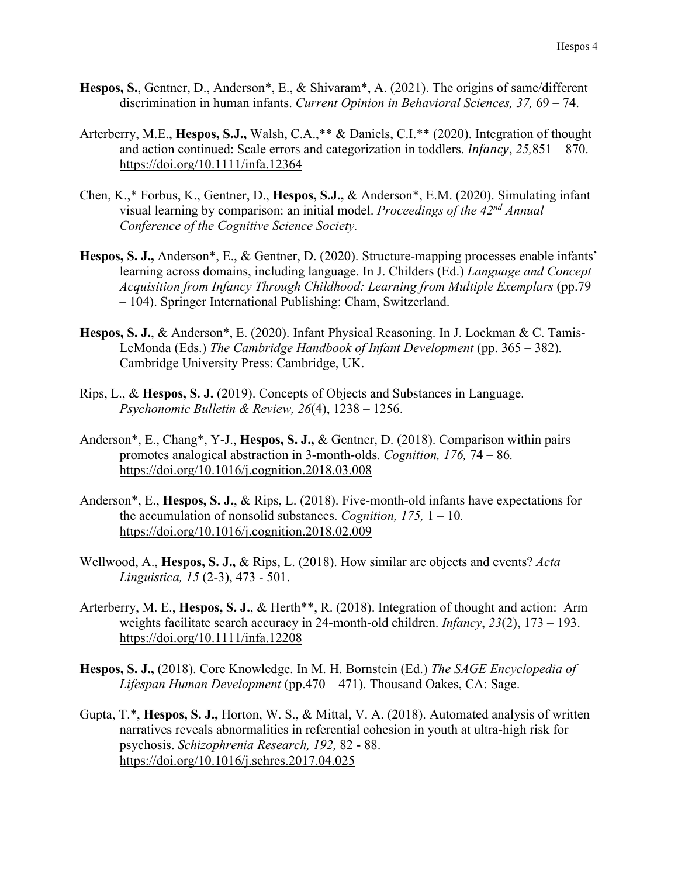- **Hespos, S.**, Gentner, D., Anderson\*, E., & Shivaram\*, A. (2021). The origins of same/different discrimination in human infants. *Current Opinion in Behavioral Sciences, 37,* 69 – 74.
- Arterberry, M.E., **Hespos, S.J.,** Walsh, C.A.,\*\* & Daniels, C.I.\*\* (2020). Integration of thought and action continued: Scale errors and categorization in toddlers. *Infancy*, *25,*851 – 870. https://doi.org/10.1111/infa.12364
- Chen, K.,\* Forbus, K., Gentner, D., **Hespos, S.J.,** & Anderson\*, E.M. (2020). Simulating infant visual learning by comparison: an initial model. *Proceedings of the 42nd Annual Conference of the Cognitive Science Society.*
- **Hespos, S. J.,** Anderson\*, E., & Gentner, D. (2020). Structure-mapping processes enable infants' learning across domains, including language. In J. Childers (Ed.) *Language and Concept Acquisition from Infancy Through Childhood: Learning from Multiple Exemplars* (pp.79 – 104). Springer International Publishing: Cham, Switzerland.
- **Hespos, S. J.**, & Anderson\*, E. (2020). Infant Physical Reasoning. In J. Lockman & C. Tamis-LeMonda (Eds.) *The Cambridge Handbook of Infant Development* (pp. 365 – 382)*.*  Cambridge University Press: Cambridge, UK.
- Rips, L., & **Hespos, S. J.** (2019). Concepts of Objects and Substances in Language. *Psychonomic Bulletin & Review, 26*(4), 1238 – 1256.
- Anderson\*, E., Chang\*, Y-J., **Hespos, S. J.,** & Gentner, D. (2018). Comparison within pairs promotes analogical abstraction in 3-month-olds. *Cognition, 176,* 74 – 86*.* <https://doi.org/10.1016/j.cognition.2018.03.008>
- Anderson\*, E., **Hespos, S. J.**, & Rips, L. (2018). Five-month-old infants have expectations for the accumulation of nonsolid substances. *Cognition, 175,* 1 – 10*.* <https://doi.org/10.1016/j.cognition.2018.02.009>
- Wellwood, A., **Hespos, S. J.,** & Rips, L. (2018). How similar are objects and events? *Acta Linguistica, 15* (2-3), 473 - 501.
- Arterberry, M. E., **Hespos, S. J.**, & Herth\*\*, R. (2018). Integration of thought and action: Arm weights facilitate search accuracy in 24-month-old children. *Infancy*, *23*(2), 173 – 193. <https://doi.org/10.1111/infa.12208>
- **Hespos, S. J.,** (2018). Core Knowledge. In M. H. Bornstein (Ed.) *The SAGE Encyclopedia of Lifespan Human Development* (pp.470 – 471). Thousand Oakes, CA: Sage.
- Gupta, T.\*, **Hespos, S. J.,** Horton, W. S., & Mittal, V. A. (2018). Automated analysis of written narratives reveals abnormalities in referential cohesion in youth at ultra-high risk for psychosis. *Schizophrenia Research, 192,* 82 - 88. <https://doi.org/10.1016/j.schres.2017.04.025>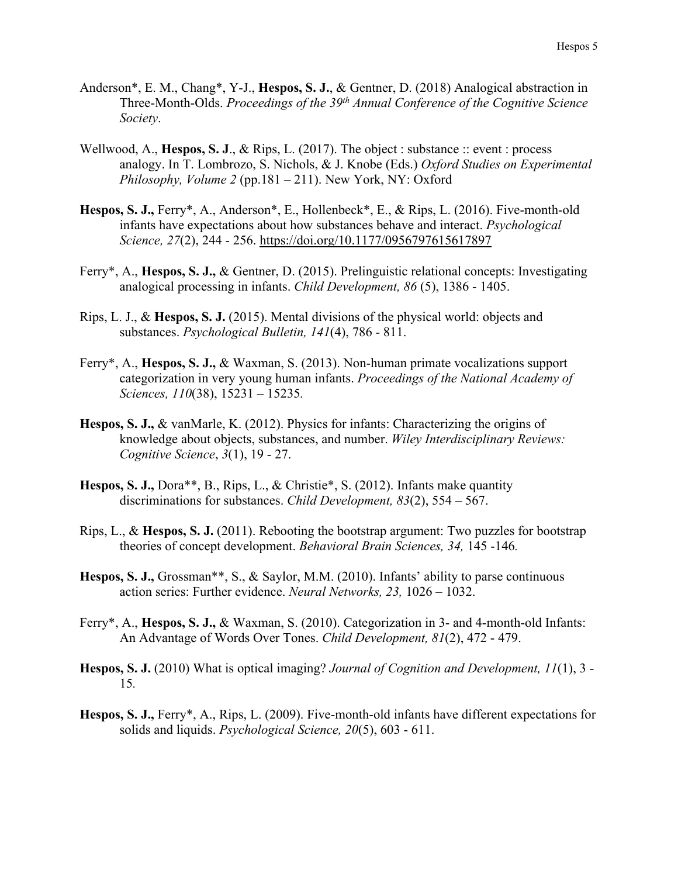- Anderson\*, E. M., Chang\*, Y-J., **Hespos, S. J.**, & Gentner, D. (2018) Analogical abstraction in Three-Month-Olds. *Proceedings of the 39th Annual Conference of the Cognitive Science Society*.
- Wellwood, A., **Hespos, S. J.**, & Rips, L. (2017). The object : substance :: event : process analogy. In T. Lombrozo, S. Nichols, & J. Knobe (Eds.) *Oxford Studies on Experimental Philosophy, Volume 2* (pp.181 – 211). New York, NY: Oxford
- **Hespos, S. J.,** Ferry\*, A., Anderson\*, E., Hollenbeck\*, E., & Rips, L. (2016). Five-month-old infants have expectations about how substances behave and interact. *Psychological Science, 27*(2), 244 - 256. <https://doi.org/10.1177/0956797615617897>
- Ferry\*, A., **Hespos, S. J.,** & Gentner, D. (2015). Prelinguistic relational concepts: Investigating analogical processing in infants. *Child Development, 86* (5), 1386 - 1405.
- Rips, L. J., & **Hespos, S. J.** (2015). Mental divisions of the physical world: objects and substances. *Psychological Bulletin, 141*(4), 786 - 811.
- Ferry\*, A., **Hespos, S. J.,** & Waxman, S. (2013). Non-human primate vocalizations support categorization in very young human infants. *Proceedings of the National Academy of Sciences, 110*(38), 15231 – 15235*.*
- **Hespos, S. J.,** & vanMarle, K. (2012). Physics for infants: Characterizing the origins of knowledge about objects, substances, and number. *Wiley Interdisciplinary Reviews: Cognitive Science*, *3*(1), 19 - 27.
- **Hespos, S. J.,** Dora\*\*, B., Rips, L., & Christie\*, S. (2012). Infants make quantity discriminations for substances. *Child Development, 83*(2), 554 – 567.
- Rips, L., & **Hespos, S. J.** (2011). Rebooting the bootstrap argument: Two puzzles for bootstrap theories of concept development. *Behavioral Brain Sciences, 34,* 145 -146*.*
- **Hespos, S. J.,** Grossman\*\*, S., & Saylor, M.M. (2010). Infants' ability to parse continuous action series: Further evidence. *Neural Networks, 23,* 1026 – 1032.
- Ferry\*, A., **Hespos, S. J.,** & Waxman, S. (2010). Categorization in 3- and 4-month-old Infants: An Advantage of Words Over Tones. *Child Development, 81*(2), 472 - 479.
- **Hespos, S. J.** (2010) What is optical imaging? *Journal of Cognition and Development, 11*(1), 3 15*.*
- **Hespos, S. J.,** Ferry\*, A., Rips, L. (2009). Five-month-old infants have different expectations for solids and liquids. *Psychological Science, 20*(5), 603 - 611.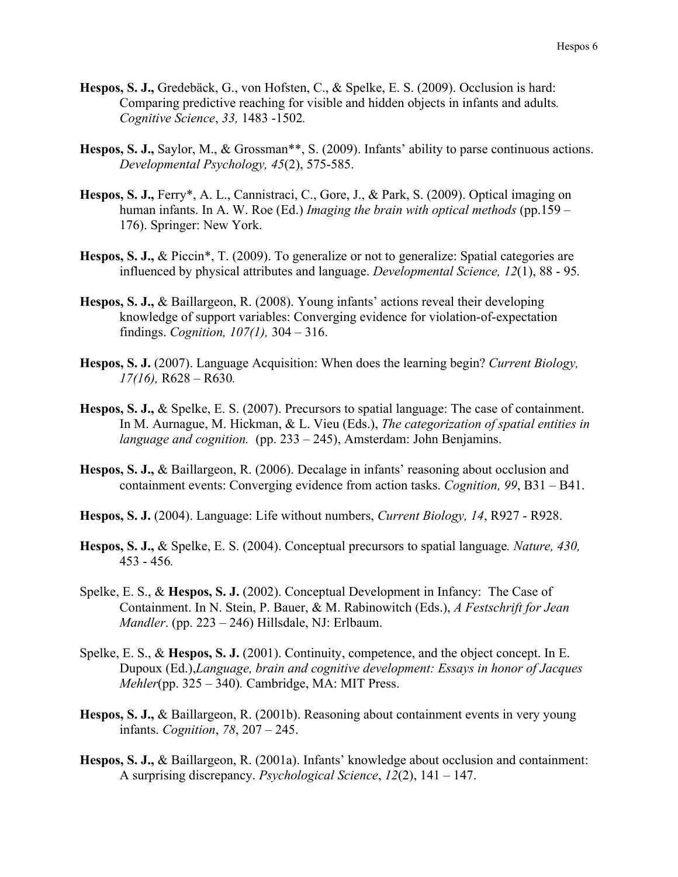- **Hespos, S. J.,** Gredebäck, G., von Hofsten, C., & Spelke, E. S. (2009). Occlusion is hard: Comparing predictive reaching for visible and hidden objects in infants and adults*. Cognitive Science*, *33,* 1483 -1502*.*
- **Hespos, S. J.,** Saylor, M., & Grossman\*\*, S. (2009). Infants' ability to parse continuous actions. *Developmental Psychology, 45*(2), 575-585.
- **Hespos, S. J.,** Ferry\*, A. L., Cannistraci, C., Gore, J., & Park, S. (2009). Optical imaging on human infants. In A. W. Roe (Ed.) *Imaging the brain with optical methods* (pp.159 – 176). Springer: New York.
- **Hespos, S. J.,** & Piccin\*, T. (2009). To generalize or not to generalize: Spatial categories are influenced by physical attributes and language. *Developmental Science, 12*(1), 88 - 95*.*
- **Hespos, S. J.,** & Baillargeon, R. (2008). Young infants' actions reveal their developing knowledge of support variables: Converging evidence for violation-of-expectation findings. *Cognition, 107(1),* 304 – 316.
- **Hespos, S. J.** (2007). Language Acquisition: When does the learning begin? *Current Biology, 17(16),* R628 – R630*.*
- **Hespos, S. J.,** & Spelke, E. S. (2007). Precursors to spatial language: The case of containment. In M. Aurnague, M. Hickman, & L. Vieu (Eds.), *The categorization of spatial entities in language and cognition.* (pp. 233 – 245), Amsterdam: John Benjamins.
- **Hespos, S. J.,** & Baillargeon, R. (2006). Decalage in infants' reasoning about occlusion and containment events: Converging evidence from action tasks. *Cognition, 99*, B31 – B41.
- **Hespos, S. J.** (2004). Language: Life without numbers, *Current Biology, 14*, R927 R928.
- **Hespos, S. J.,** & Spelke, E. S. (2004). Conceptual precursors to spatial language*. Nature, 430,*  453 - 456*.*
- Spelke, E. S., & **Hespos, S. J.** (2002). Conceptual Development in Infancy: The Case of Containment. In N. Stein, P. Bauer, & M. Rabinowitch (Eds.), *A Festschrift for Jean Mandler*. (pp. 223 – 246) Hillsdale, NJ: Erlbaum.
- Spelke, E. S., & **Hespos, S. J.** (2001). Continuity, competence, and the object concept. In E. Dupoux (Ed.),*Language, brain and cognitive development: Essays in honor of Jacques Mehler*(pp. 325 – 340)*.* Cambridge, MA: MIT Press.
- **Hespos, S. J.,** & Baillargeon, R. (2001b). Reasoning about containment events in very young infants. *Cognition*, *78*, 207 – 245.
- **Hespos, S. J.,** & Baillargeon, R. (2001a). Infants' knowledge about occlusion and containment: A surprising discrepancy. *Psychological Science*, *12*(2), 141 – 147.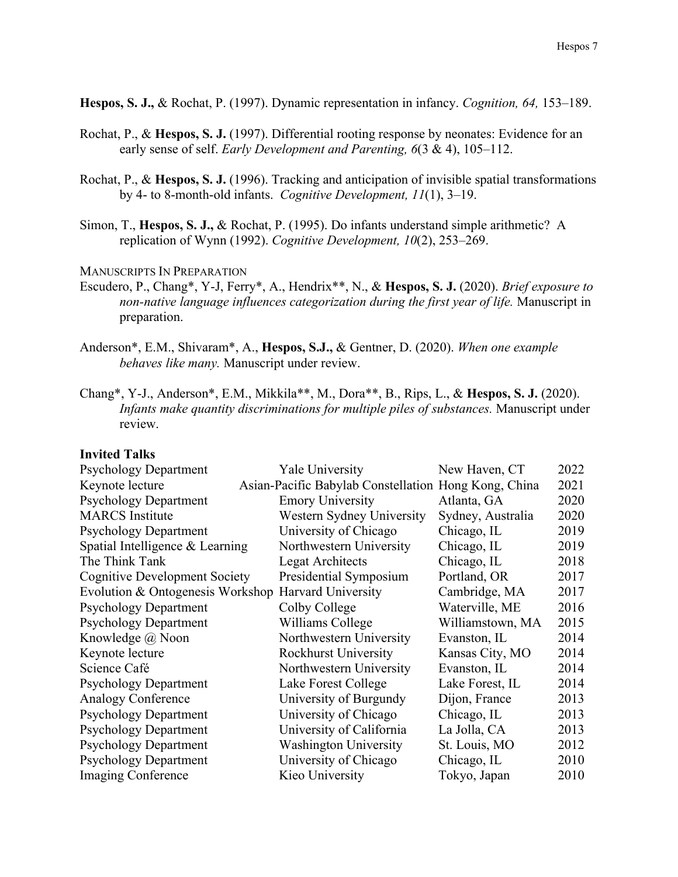**Hespos, S. J.,** & Rochat, P. (1997). Dynamic representation in infancy. *Cognition, 64,* 153–189.

- Rochat, P., & **Hespos, S. J.** (1997). Differential rooting response by neonates: Evidence for an early sense of self. *Early Development and Parenting, 6*(3 & 4), 105–112.
- Rochat, P., & **Hespos, S. J.** (1996). Tracking and anticipation of invisible spatial transformations by 4- to 8-month-old infants. *Cognitive Development, 11*(1), 3–19.
- Simon, T., **Hespos, S. J.,** & Rochat, P. (1995). Do infants understand simple arithmetic? A replication of Wynn (1992). *Cognitive Development, 10*(2), 253–269.

#### MANUSCRIPTS IN PREPARATION

- Escudero, P., Chang\*, Y-J, Ferry\*, A., Hendrix\*\*, N., & **Hespos, S. J.** (2020). *Brief exposure to non-native language influences categorization during the first year of life.* Manuscript in preparation.
- Anderson\*, E.M., Shivaram\*, A., **Hespos, S.J.,** & Gentner, D. (2020). *When one example behaves like many.* Manuscript under review.
- Chang\*, Y-J., Anderson\*, E.M., Mikkila\*\*, M., Dora\*\*, B., Rips, L., & **Hespos, S. J.** (2020). *Infants make quantity discriminations for multiple piles of substances.* Manuscript under review.

#### **Invited Talks**

| <b>Psychology Department</b>         | Yale University                                      | New Haven, CT     | 2022 |
|--------------------------------------|------------------------------------------------------|-------------------|------|
| Keynote lecture                      | Asian-Pacific Babylab Constellation Hong Kong, China |                   | 2021 |
| <b>Psychology Department</b>         | <b>Emory University</b>                              | Atlanta, GA       | 2020 |
| <b>MARCS</b> Institute               | Western Sydney University                            | Sydney, Australia | 2020 |
| <b>Psychology Department</b>         | University of Chicago                                | Chicago, IL       | 2019 |
| Spatial Intelligence & Learning      | Northwestern University                              | Chicago, IL       | 2019 |
| The Think Tank                       | <b>Legat Architects</b>                              | Chicago, IL       | 2018 |
| <b>Cognitive Development Society</b> | Presidential Symposium                               | Portland, OR      | 2017 |
| Evolution & Ontogenesis Workshop     | Harvard University                                   | Cambridge, MA     | 2017 |
| <b>Psychology Department</b>         | Colby College                                        | Waterville, ME    | 2016 |
| <b>Psychology Department</b>         | Williams College                                     | Williamstown, MA  | 2015 |
| Knowledge @ Noon                     | Northwestern University                              | Evanston, IL      | 2014 |
| Keynote lecture                      | <b>Rockhurst University</b>                          | Kansas City, MO   | 2014 |
| Science Café                         | Northwestern University                              | Evanston, IL      | 2014 |
| <b>Psychology Department</b>         | Lake Forest College                                  | Lake Forest, IL   | 2014 |
| <b>Analogy Conference</b>            | University of Burgundy                               | Dijon, France     | 2013 |
| <b>Psychology Department</b>         | University of Chicago                                | Chicago, IL       | 2013 |
| <b>Psychology Department</b>         | University of California                             | La Jolla, CA      | 2013 |
| <b>Psychology Department</b>         | <b>Washington University</b>                         | St. Louis, MO     | 2012 |
| <b>Psychology Department</b>         | University of Chicago                                | Chicago, IL       | 2010 |
| Imaging Conference                   | Kieo University                                      | Tokyo, Japan      | 2010 |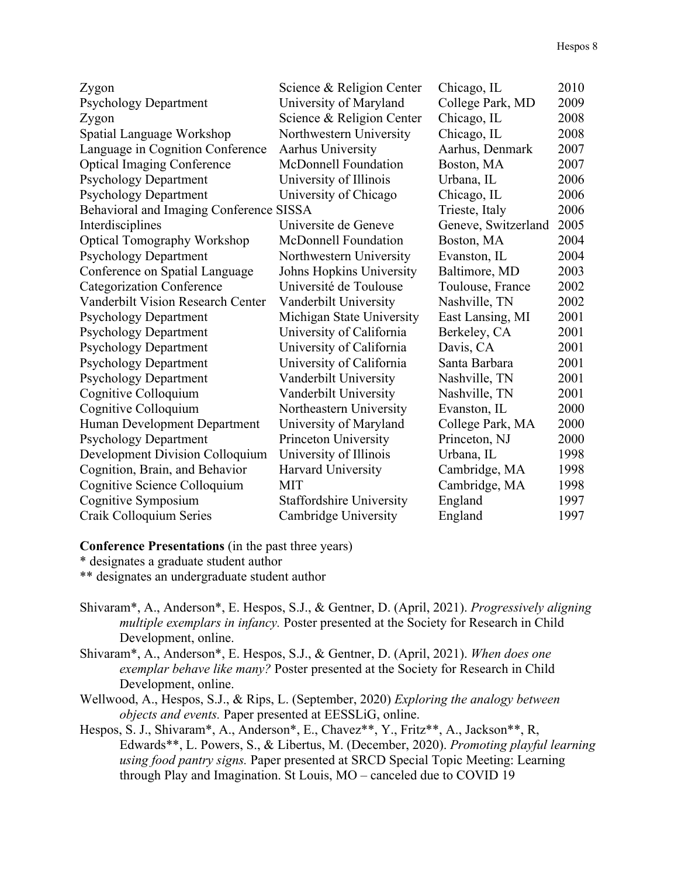| Zygon                                    | Science & Religion Center       | Chicago, IL         | 2010 |
|------------------------------------------|---------------------------------|---------------------|------|
| <b>Psychology Department</b>             | University of Maryland          | College Park, MD    | 2009 |
| Zygon                                    | Science & Religion Center       | Chicago, IL         | 2008 |
| Spatial Language Workshop                | Northwestern University         | Chicago, IL         | 2008 |
| Language in Cognition Conference         | Aarhus University               | Aarhus, Denmark     | 2007 |
| <b>Optical Imaging Conference</b>        | <b>McDonnell Foundation</b>     | Boston, MA          | 2007 |
| <b>Psychology Department</b>             | University of Illinois          | Urbana, IL          | 2006 |
| <b>Psychology Department</b>             | University of Chicago           | Chicago, IL         | 2006 |
| Behavioral and Imaging Conference SISSA  |                                 | Trieste, Italy      | 2006 |
| Interdisciplines                         | Universite de Geneve            | Geneve, Switzerland | 2005 |
| <b>Optical Tomography Workshop</b>       | <b>McDonnell Foundation</b>     | Boston, MA          | 2004 |
| <b>Psychology Department</b>             | Northwestern University         | Evanston, IL        | 2004 |
| Conference on Spatial Language           | Johns Hopkins University        | Baltimore, MD       | 2003 |
| <b>Categorization Conference</b>         | Université de Toulouse          | Toulouse, France    | 2002 |
| <b>Vanderbilt Vision Research Center</b> | Vanderbilt University           | Nashville, TN       | 2002 |
| <b>Psychology Department</b>             | Michigan State University       | East Lansing, MI    | 2001 |
| <b>Psychology Department</b>             | University of California        | Berkeley, CA        | 2001 |
| <b>Psychology Department</b>             | University of California        | Davis, CA           | 2001 |
| <b>Psychology Department</b>             | University of California        | Santa Barbara       | 2001 |
| <b>Psychology Department</b>             | Vanderbilt University           | Nashville, TN       | 2001 |
| Cognitive Colloquium                     | Vanderbilt University           | Nashville, TN       | 2001 |
| Cognitive Colloquium                     | Northeastern University         | Evanston, IL        | 2000 |
| Human Development Department             | University of Maryland          | College Park, MA    | 2000 |
| <b>Psychology Department</b>             | Princeton University            | Princeton, NJ       | 2000 |
| Development Division Colloquium          | University of Illinois          | Urbana, IL          | 1998 |
| Cognition, Brain, and Behavior           | Harvard University              | Cambridge, MA       | 1998 |
| Cognitive Science Colloquium             | <b>MIT</b>                      | Cambridge, MA       | 1998 |
| Cognitive Symposium                      | <b>Staffordshire University</b> | England             | 1997 |
| Craik Colloquium Series                  | Cambridge University            | England             | 1997 |

**Conference Presentations** (in the past three years)

\* designates a graduate student author

\*\* designates an undergraduate student author

- Shivaram\*, A., Anderson\*, E. Hespos, S.J., & Gentner, D. (April, 2021). *Progressively aligning multiple exemplars in infancy.* Poster presented at the Society for Research in Child Development, online.
- Shivaram\*, A., Anderson\*, E. Hespos, S.J., & Gentner, D. (April, 2021). *When does one exemplar behave like many?* Poster presented at the Society for Research in Child Development, online.
- Wellwood, A., Hespos, S.J., & Rips, L. (September, 2020) *Exploring the analogy between objects and events.* Paper presented at EESSLiG, online.
- Hespos, S. J., Shivaram\*, A., Anderson\*, E., Chavez\*\*, Y., Fritz\*\*, A., Jackson\*\*, R, Edwards\*\*, L. Powers, S., & Libertus, M. (December, 2020). *Promoting playful learning using food pantry signs.* Paper presented at SRCD Special Topic Meeting: Learning through Play and Imagination. St Louis, MO – canceled due to COVID 19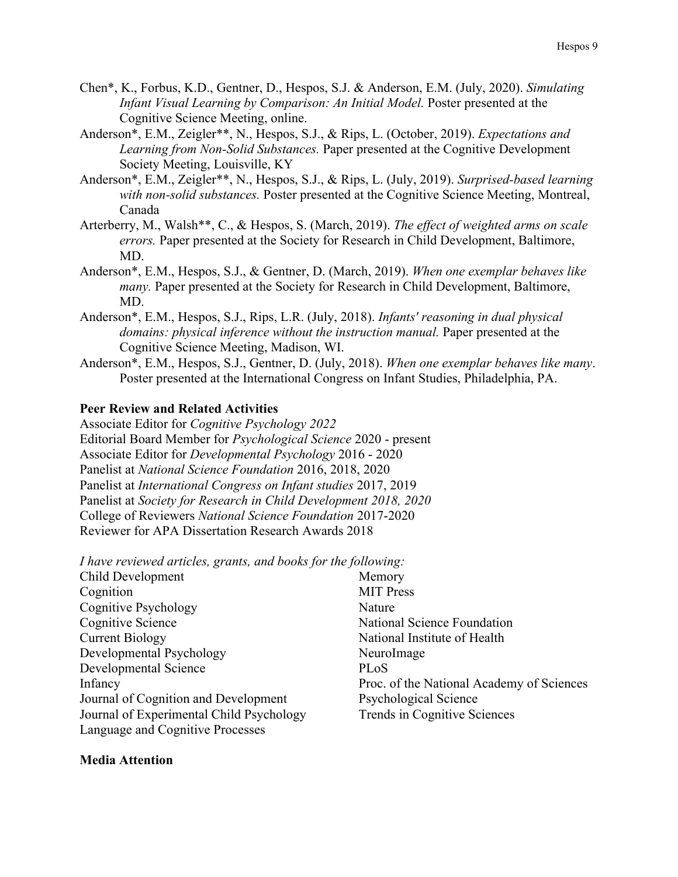- Chen\*, K., Forbus, K.D., Gentner, D., Hespos, S.J. & Anderson, E.M. (July, 2020). *Simulating Infant Visual Learning by Comparison: An Initial Model.* Poster presented at the Cognitive Science Meeting, online.
- Anderson\*, E.M., Zeigler\*\*, N., Hespos, S.J., & Rips, L. (October, 2019). *Expectations and Learning from Non-Solid Substances.* Paper presented at the Cognitive Development Society Meeting, Louisville, KY
- Anderson\*, E.M., Zeigler\*\*, N., Hespos, S.J., & Rips, L. (July, 2019). *Surprised-based learning with non-solid substances.* Poster presented at the Cognitive Science Meeting, Montreal, Canada
- Arterberry, M., Walsh\*\*, C., & Hespos, S. (March, 2019). *The effect of weighted arms on scale errors.* Paper presented at the Society for Research in Child Development, Baltimore, MD.
- Anderson\*, E.M., Hespos, S.J., & Gentner, D. (March, 2019). *When one exemplar behaves like many*. Paper presented at the Society for Research in Child Development, Baltimore, MD.
- Anderson\*, E.M., Hespos, S.J., Rips, L.R. (July, 2018). *Infants' reasoning in dual physical domains: physical inference without the instruction manual.* Paper presented at the Cognitive Science Meeting, Madison, WI.
- Anderson\*, E.M., Hespos, S.J., Gentner, D. (July, 2018). *When one exemplar behaves like many*. Poster presented at the International Congress on Infant Studies, Philadelphia, PA.

## **Peer Review and Related Activities**

Associate Editor for *Cognitive Psychology 2022*  Editorial Board Member for *Psychological Science* 2020 - present Associate Editor for *Developmental Psychology* 2016 - 2020 Panelist at *National Science Foundation* 2016, 2018, 2020 Panelist at *International Congress on Infant studies* 2017, 2019 Panelist at *Society for Research in Child Development 2018, 2020* College of Reviewers *National Science Foundation* 2017-2020 Reviewer for APA Dissertation Research Awards 2018

*I have reviewed articles, grants, and books for the following:*

| Child Development                        | Memory                                    |
|------------------------------------------|-------------------------------------------|
| Cognition                                | <b>MIT</b> Press                          |
| <b>Cognitive Psychology</b>              | Nature                                    |
| Cognitive Science                        | National Science Foundation               |
| <b>Current Biology</b>                   | National Institute of Health              |
| Developmental Psychology                 | NeuroImage                                |
| Developmental Science                    | PLoS                                      |
| Infancy                                  | Proc. of the National Academy of Sciences |
| Journal of Cognition and Development     | <b>Psychological Science</b>              |
| Journal of Experimental Child Psychology | Trends in Cognitive Sciences              |
| Language and Cognitive Processes         |                                           |

#### **Media Attention**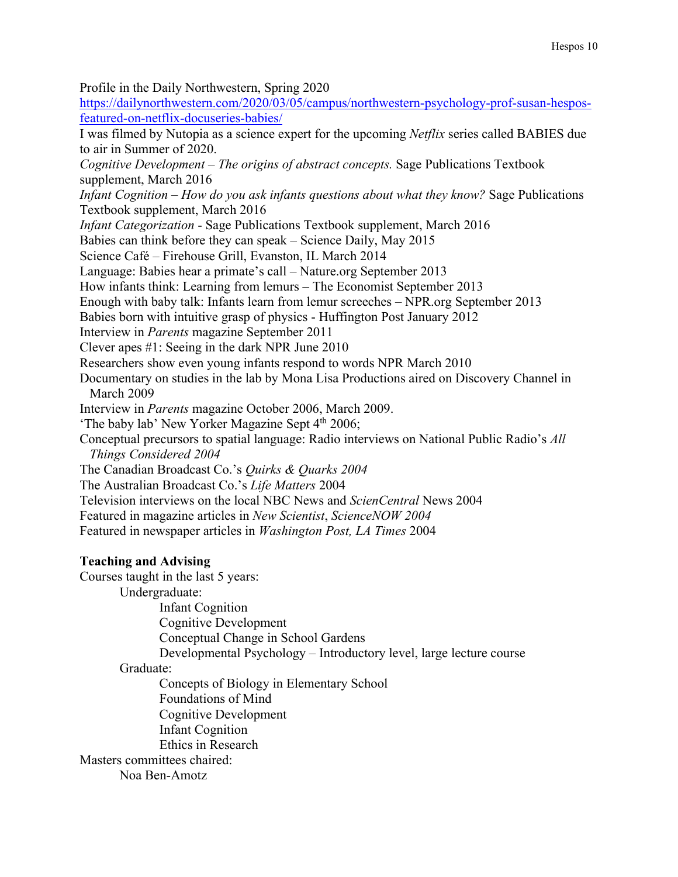Profile in the Daily Northwestern, Spring 2020

[https://dailynorthwestern.com/2020/03/05/campus/northwestern-psychology-prof-susan-hespos](https://dailynorthwestern.com/2020/03/05/campus/northwestern-psychology-prof-susan-hespos-featured-on-netflix-docuseries-babies/)[featured-on-netflix-docuseries-babies/](https://dailynorthwestern.com/2020/03/05/campus/northwestern-psychology-prof-susan-hespos-featured-on-netflix-docuseries-babies/)

I was filmed by Nutopia as a science expert for the upcoming *Netflix* series called BABIES due to air in Summer of 2020.

*Cognitive Development – The origins of abstract concepts.* Sage Publications Textbook supplement, March 2016

*Infant Cognition – How do you ask infants questions about what they know?* Sage Publications Textbook supplement, March 2016

*Infant Categorization* - Sage Publications Textbook supplement, March 2016

Babies can think before they can speak – Science Daily, May 2015

Science Café – Firehouse Grill, Evanston, IL March 2014

Language: Babies hear a primate's call – Nature.org September 2013

How infants think: Learning from lemurs – The Economist September 2013

Enough with baby talk: Infants learn from lemur screeches – NPR.org September 2013

Babies born with intuitive grasp of physics - Huffington Post January 2012

Interview in *Parents* magazine September 2011

Clever apes #1: Seeing in the dark NPR June 2010

Researchers show even young infants respond to words NPR March 2010

Documentary on studies in the lab by Mona Lisa Productions aired on Discovery Channel in March 2009

Interview in *Parents* magazine October 2006, March 2009.

'The baby lab' New Yorker Magazine Sept  $4<sup>th</sup>$  2006;

Conceptual precursors to spatial language: Radio interviews on National Public Radio's *All Things Considered 2004*

The Canadian Broadcast Co.'s *Quirks & Quarks 2004*

The Australian Broadcast Co.'s *Life Matters* 2004

Television interviews on the local NBC News and *ScienCentral* News 2004

Featured in magazine articles in *New Scientist*, *ScienceNOW 2004* 

Featured in newspaper articles in *Washington Post, LA Times* 2004

## **Teaching and Advising**

Courses taught in the last 5 years:

Undergraduate:

Infant Cognition

Cognitive Development

Conceptual Change in School Gardens

Developmental Psychology – Introductory level, large lecture course

## Graduate:

Concepts of Biology in Elementary School

Foundations of Mind

Cognitive Development

Infant Cognition

Ethics in Research

Masters committees chaired:

Noa Ben-Amotz